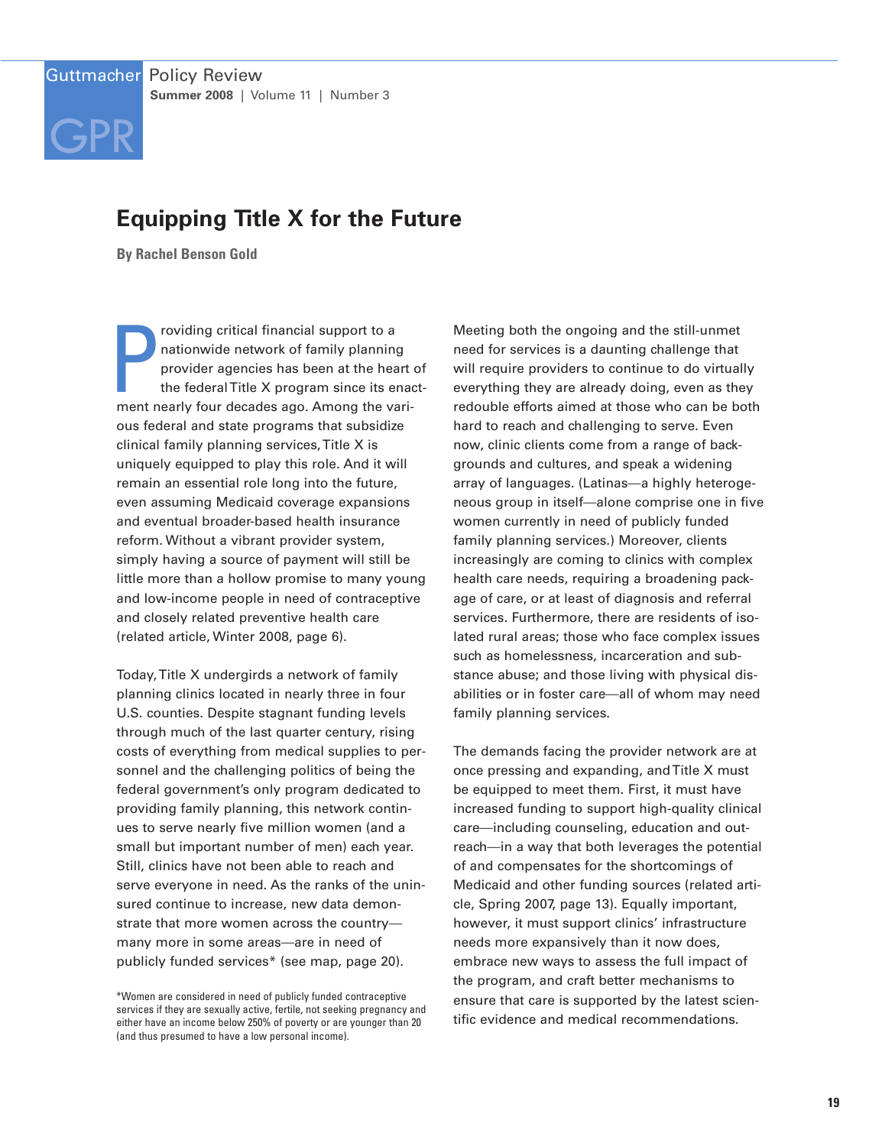# **Equipping Title X for the Future**

**By Rachel Benson Gold**

GPR

**P**<br>ment n roviding critical financial support to a nationwide network of family planning provider agencies has been at the heart of the federalTitle X program since its enactment nearly four decades ago. Among the various federal and state programs that subsidize clinical family planning services,Title X is uniquely equipped to play this role. And it will remain an essential role long into the future, even assuming Medicaid coverage expansions and eventual broader-based health insurance reform. Without a vibrant provider system, simply having a source of payment will still be little more than a hollow promise to many young and low-income people in need of contraceptive and closely related preventive health care (related article, Winter 2008, page 6).

Today,Title X undergirds a network of family planning clinics located in nearly three in four U.S. counties. Despite stagnant funding levels through much of the last quarter century, rising costs of everything from medical supplies to personnel and the challenging politics of being the federal government's only program dedicated to providing family planning, this network continues to serve nearly five million women (and a small but important number of men) each year. Still, clinics have not been able to reach and serve everyone in need. As the ranks of the uninsured continue to increase, new data demonstrate that more women across the country many more in some areas—are in need of publicly funded services\* (see map, page 20).

Meeting both the ongoing and the still-unmet need for services is a daunting challenge that will require providers to continue to do virtually everything they are already doing, even as they redouble efforts aimed at those who can be both hard to reach and challenging to serve. Even now, clinic clients come from a range of backgrounds and cultures, and speak a widening array of languages. (Latinas—a highly heterogeneous group in itself—alone comprise one in five women currently in need of publicly funded family planning services.) Moreover, clients increasingly are coming to clinics with complex health care needs, requiring a broadening package of care, or at least of diagnosis and referral services. Furthermore, there are residents of isolated rural areas; those who face complex issues such as homelessness, incarceration and substance abuse; and those living with physical disabilities or in foster care—all of whom may need family planning services.

The demands facing the provider network are at once pressing and expanding, and Title X must be equipped to meet them. First, it must have increased funding to support high-quality clinical care—including counseling, education and outreach—in a way that both leverages the potential of and compensates for the shortcomings of Medicaid and other funding sources (related article, Spring 2007, page 13). Equally important, however, it must support clinics' infrastructure needs more expansively than it now does, embrace new ways to assess the full impact of the program, and craft better mechanisms to ensure that care is supported by the latest scientific evidence and medical recommendations.

<sup>\*</sup>Women are considered in need of publicly funded contraceptive services if they are sexually active, fertile, not seeking pregnancy and either have an income below 250% of poverty or are younger than 20 (and thus presumed to have a low personal income).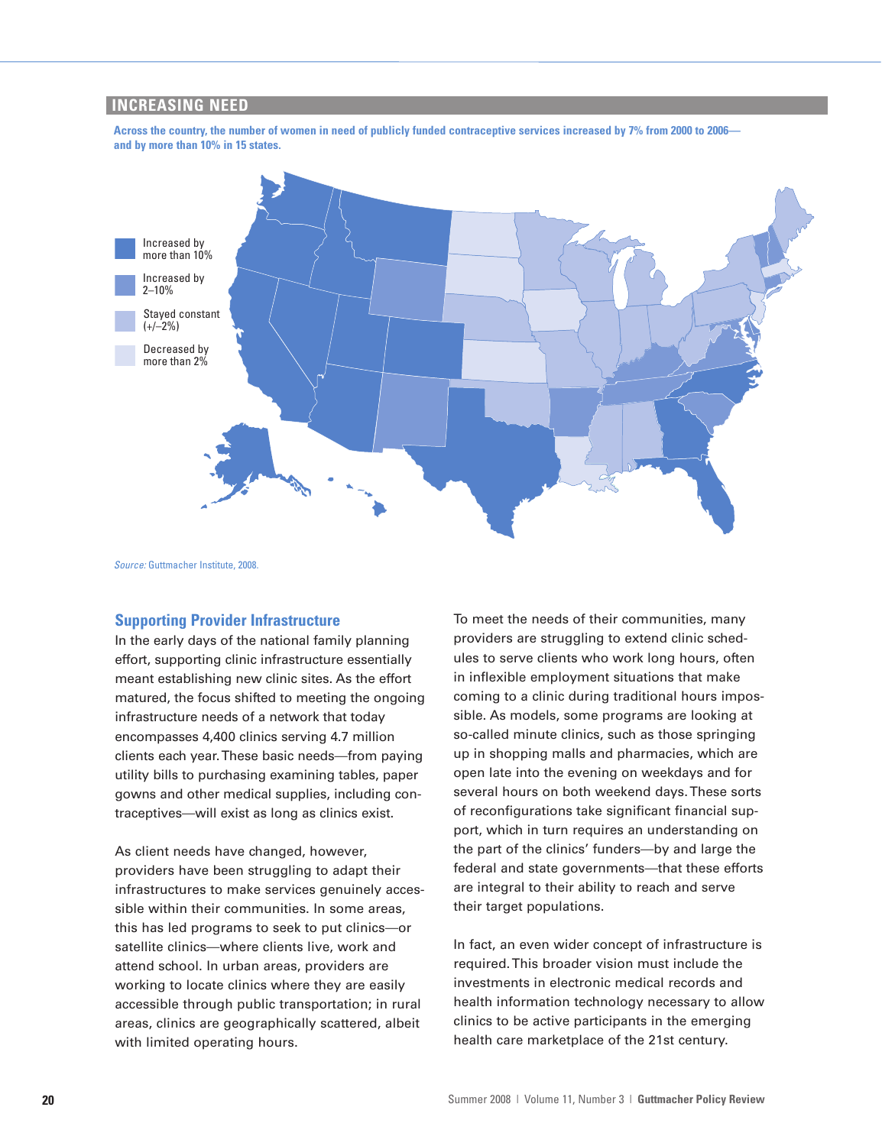## **INCREASING NEED**

Across the country, the number of women in need of publicly funded contraceptive services increased by 7% from 2000 to 2006 **and by more than 10% in 15 states.**



*Source:* Guttmacher Institute, 2008.

## **Supporting Provider Infrastructure**

In the early days of the national family planning effort, supporting clinic infrastructure essentially meant establishing new clinic sites. As the effort matured, the focus shifted to meeting the ongoing infrastructure needs of a network that today encompasses 4,400 clinics serving 4.7 million clients each year.These basic needs—from paying utility bills to purchasing examining tables, paper gowns and other medical supplies, including contraceptives—will exist as long as clinics exist.

As client needs have changed, however, providers have been struggling to adapt their infrastructures to make services genuinely accessible within their communities. In some areas, this has led programs to seek to put clinics—or satellite clinics—where clients live, work and attend school. In urban areas, providers are working to locate clinics where they are easily accessible through public transportation; in rural areas, clinics are geographically scattered, albeit with limited operating hours.

To meet the needs of their communities, many providers are struggling to extend clinic schedules to serve clients who work long hours, often in inflexible employment situations that make coming to a clinic during traditional hours impossible. As models, some programs are looking at so-called minute clinics, such as those springing up in shopping malls and pharmacies, which are open late into the evening on weekdays and for several hours on both weekend days.These sorts of reconfigurations take significant financial support, which in turn requires an understanding on the part of the clinics' funders—by and large the federal and state governments—that these efforts are integral to their ability to reach and serve their target populations.

In fact, an even wider concept of infrastructure is required.This broader vision must include the investments in electronic medical records and health information technology necessary to allow clinics to be active participants in the emerging health care marketplace of the 21st century.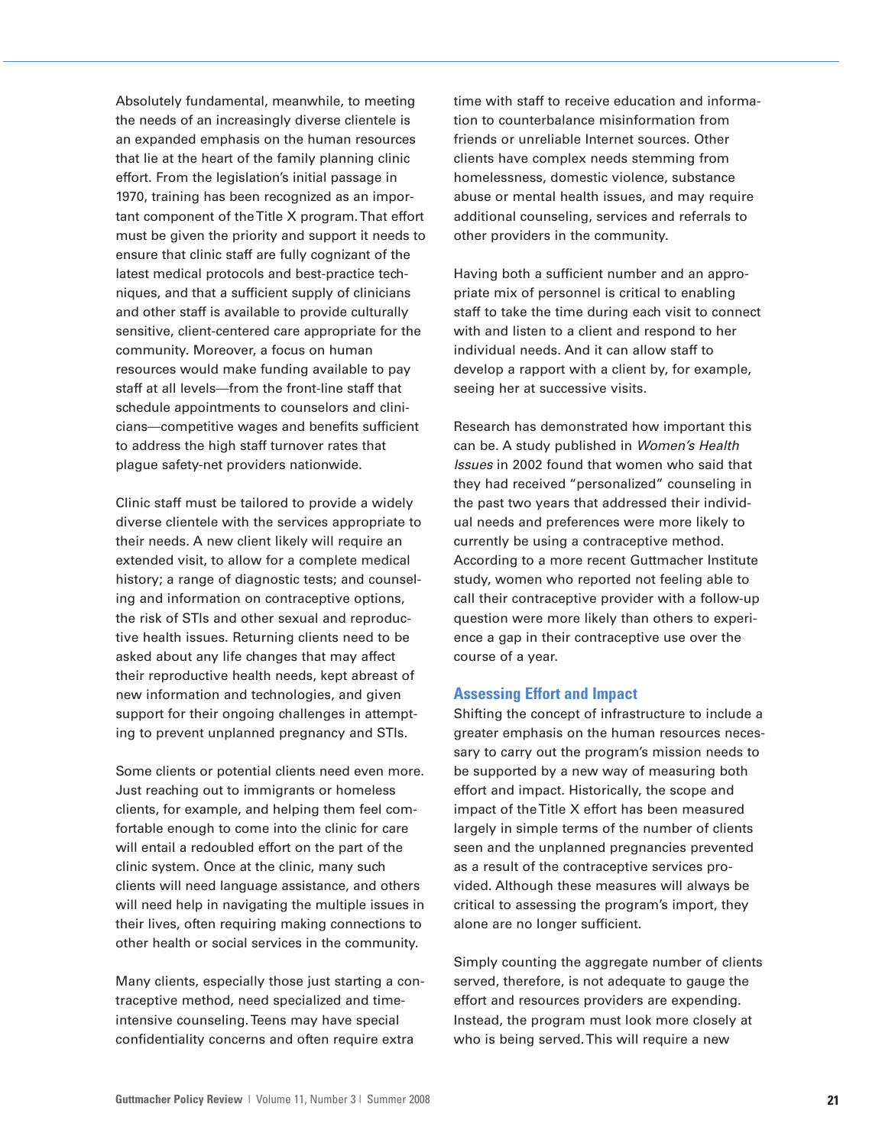Absolutely fundamental, meanwhile, to meeting the needs of an increasingly diverse clientele is an expanded emphasis on the human resources that lie at the heart of the family planning clinic effort. From the legislation's initial passage in 1970, training has been recognized as an important component of theTitle X program.That effort must be given the priority and support it needs to ensure that clinic staff are fully cognizant of the latest medical protocols and best-practice techniques, and that a sufficient supply of clinicians and other staff is available to provide culturally sensitive, client-centered care appropriate for the community. Moreover, a focus on human resources would make funding available to pay staff at all levels—from the front-line staff that schedule appointments to counselors and clinicians—competitive wages and benefits sufficient to address the high staff turnover rates that plague safety-net providers nationwide.

Clinic staff must be tailored to provide a widely diverse clientele with the services appropriate to their needs. A new client likely will require an extended visit, to allow for a complete medical history; a range of diagnostic tests; and counseling and information on contraceptive options, the risk of STIs and other sexual and reproductive health issues. Returning clients need to be asked about any life changes that may affect their reproductive health needs, kept abreast of new information and technologies, and given support for their ongoing challenges in attempting to prevent unplanned pregnancy and STIs.

Some clients or potential clients need even more. Just reaching out to immigrants or homeless clients, for example, and helping them feel comfortable enough to come into the clinic for care will entail a redoubled effort on the part of the clinic system. Once at the clinic, many such clients will need language assistance, and others will need help in navigating the multiple issues in their lives, often requiring making connections to other health or social services in the community.

Many clients, especially those just starting a contraceptive method, need specialized and timeintensive counseling.Teens may have special confidentiality concerns and often require extra

time with staff to receive education and information to counterbalance misinformation from friends or unreliable Internet sources. Other clients have complex needs stemming from homelessness, domestic violence, substance abuse or mental health issues, and may require additional counseling, services and referrals to other providers in the community.

Having both a sufficient number and an appropriate mix of personnel is critical to enabling staff to take the time during each visit to connect with and listen to a client and respond to her individual needs. And it can allow staff to develop a rapport with a client by, for example, seeing her at successive visits.

Research has demonstrated how important this can be. A study published in *Women's Health Issues* in 2002 found that women who said that they had received "personalized" counseling in the past two years that addressed their individual needs and preferences were more likely to currently be using a contraceptive method. According to a more recent Guttmacher Institute study, women who reported not feeling able to call their contraceptive provider with a follow-up question were more likely than others to experience a gap in their contraceptive use over the course of a year.

#### **Assessing Effort and Impact**

Shifting the concept of infrastructure to include a greater emphasis on the human resources necessary to carry out the program's mission needs to be supported by a new way of measuring both effort and impact. Historically, the scope and impact of theTitle X effort has been measured largely in simple terms of the number of clients seen and the unplanned pregnancies prevented as a result of the contraceptive services provided. Although these measures will always be critical to assessing the program's import, they alone are no longer sufficient.

Simply counting the aggregate number of clients served, therefore, is not adequate to gauge the effort and resources providers are expending. Instead, the program must look more closely at who is being served.This will require a new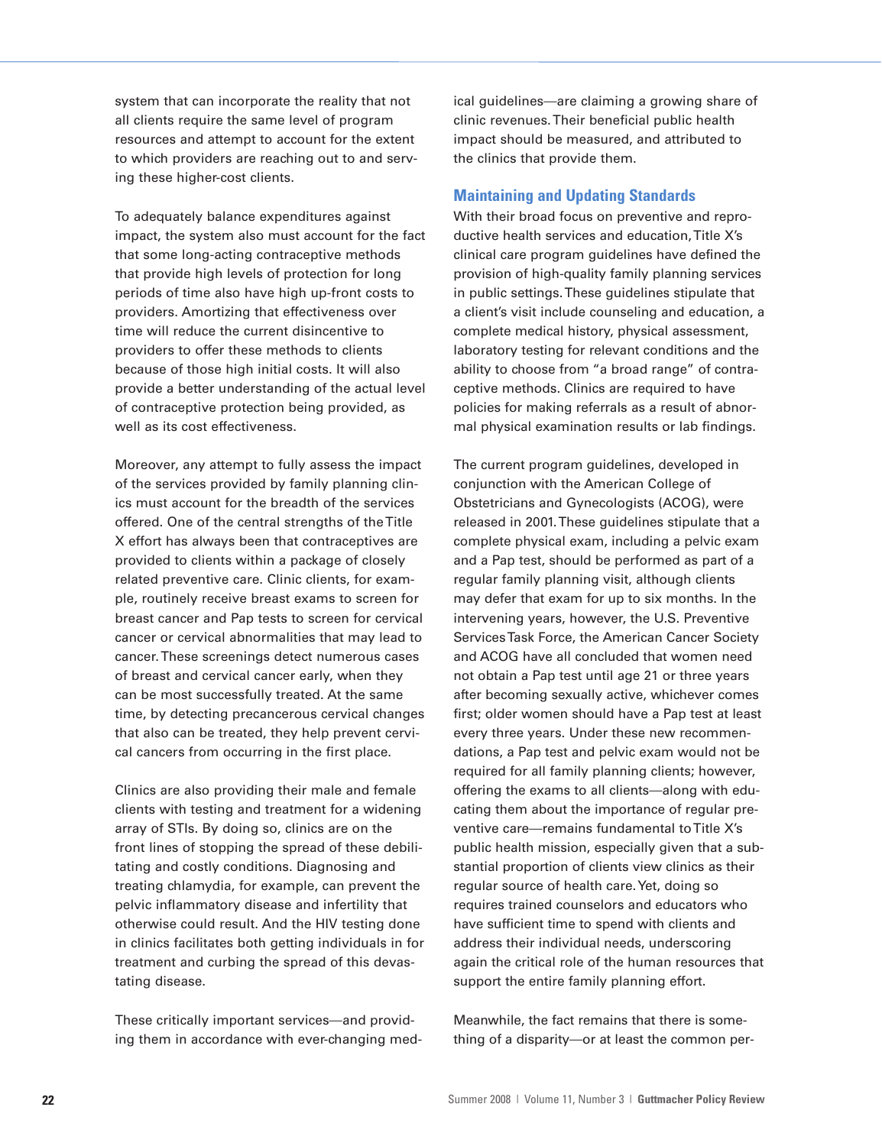system that can incorporate the reality that not all clients require the same level of program resources and attempt to account for the extent to which providers are reaching out to and serving these higher-cost clients.

To adequately balance expenditures against impact, the system also must account for the fact that some long-acting contraceptive methods that provide high levels of protection for long periods of time also have high up-front costs to providers. Amortizing that effectiveness over time will reduce the current disincentive to providers to offer these methods to clients because of those high initial costs. It will also provide a better understanding of the actual level of contraceptive protection being provided, as well as its cost effectiveness.

Moreover, any attempt to fully assess the impact of the services provided by family planning clinics must account for the breadth of the services offered. One of the central strengths of theTitle X effort has always been that contraceptives are provided to clients within a package of closely related preventive care. Clinic clients, for example, routinely receive breast exams to screen for breast cancer and Pap tests to screen for cervical cancer or cervical abnormalities that may lead to cancer.These screenings detect numerous cases of breast and cervical cancer early, when they can be most successfully treated. At the same time, by detecting precancerous cervical changes that also can be treated, they help prevent cervical cancers from occurring in the first place.

Clinics are also providing their male and female clients with testing and treatment for a widening array of STIs. By doing so, clinics are on the front lines of stopping the spread of these debilitating and costly conditions. Diagnosing and treating chlamydia, for example, can prevent the pelvic inflammatory disease and infertility that otherwise could result. And the HIV testing done in clinics facilitates both getting individuals in for treatment and curbing the spread of this devastating disease.

These critically important services—and providing them in accordance with ever-changing medical guidelines—are claiming a growing share of clinic revenues.Their beneficial public health impact should be measured, and attributed to the clinics that provide them.

## **Maintaining and Updating Standards**

With their broad focus on preventive and reproductive health services and education,Title X's clinical care program guidelines have defined the provision of high-quality family planning services in public settings.These guidelines stipulate that a client's visit include counseling and education, a complete medical history, physical assessment, laboratory testing for relevant conditions and the ability to choose from "a broad range" of contraceptive methods. Clinics are required to have policies for making referrals as a result of abnormal physical examination results or lab findings.

The current program guidelines, developed in conjunction with the American College of Obstetricians and Gynecologists (ACOG), were released in 2001.These guidelines stipulate that a complete physical exam, including a pelvic exam and a Pap test, should be performed as part of a regular family planning visit, although clients may defer that exam for up to six months. In the intervening years, however, the U.S. Preventive ServicesTask Force, the American Cancer Society and ACOG have all concluded that women need not obtain a Pap test until age 21 or three years after becoming sexually active, whichever comes first; older women should have a Pap test at least every three years. Under these new recommendations, a Pap test and pelvic exam would not be required for all family planning clients; however, offering the exams to all clients—along with educating them about the importance of regular preventive care—remains fundamental to Title X's public health mission, especially given that a substantial proportion of clients view clinics as their regular source of health care.Yet, doing so requires trained counselors and educators who have sufficient time to spend with clients and address their individual needs, underscoring again the critical role of the human resources that support the entire family planning effort.

Meanwhile, the fact remains that there is something of a disparity—or at least the common per